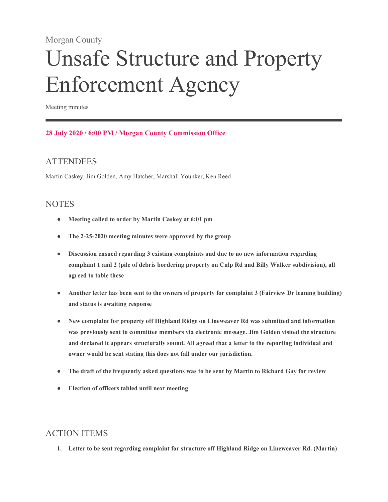#### Morgan County

# Unsafe Structure and Property Enforcement Agency

Meeting minutes

#### **28 July 2020 / 6:00 PM / Morgan County Commission Office**

### **ATTENDEES**

Martin Caskey, Jim Golden, Amy Hatcher, Marshall Younker, Ken Reed

#### **NOTES**

- **Meeting called to order by Martin Caskey at 6:01 pm**
- **The 2-25-2020 meeting minutes were approved by the group**
- **Discussion ensued regarding 3 existing complaints and due to no new information regarding complaint 1 and 2 (pile of debris bordering property on Culp Rd and Billy Walker subdivision), all agreed to table these**
- **Another letter has been sent to the owners of property for complaint 3 (Fairview Dr leaning building) and status is awaiting response**
- **New complaint for property off Highland Ridge on Lineweaver Rd was submitted and information was previously sent to committee members via electronic message. Jim Golden visited the structure and declared it appears structurally sound. All agreed that a letter to the reporting individual and owner would be sent stating this does not fall under our jurisdiction.**
- **The draft of the frequently asked questions was to be sent by Martin to Richard Gay for review**
- **Election of officers tabled until next meeting**

## ACTION ITEMS

**1. Letter to be sent regarding complaint for structure off Highland Ridge on Lineweaver Rd. (Martin)**